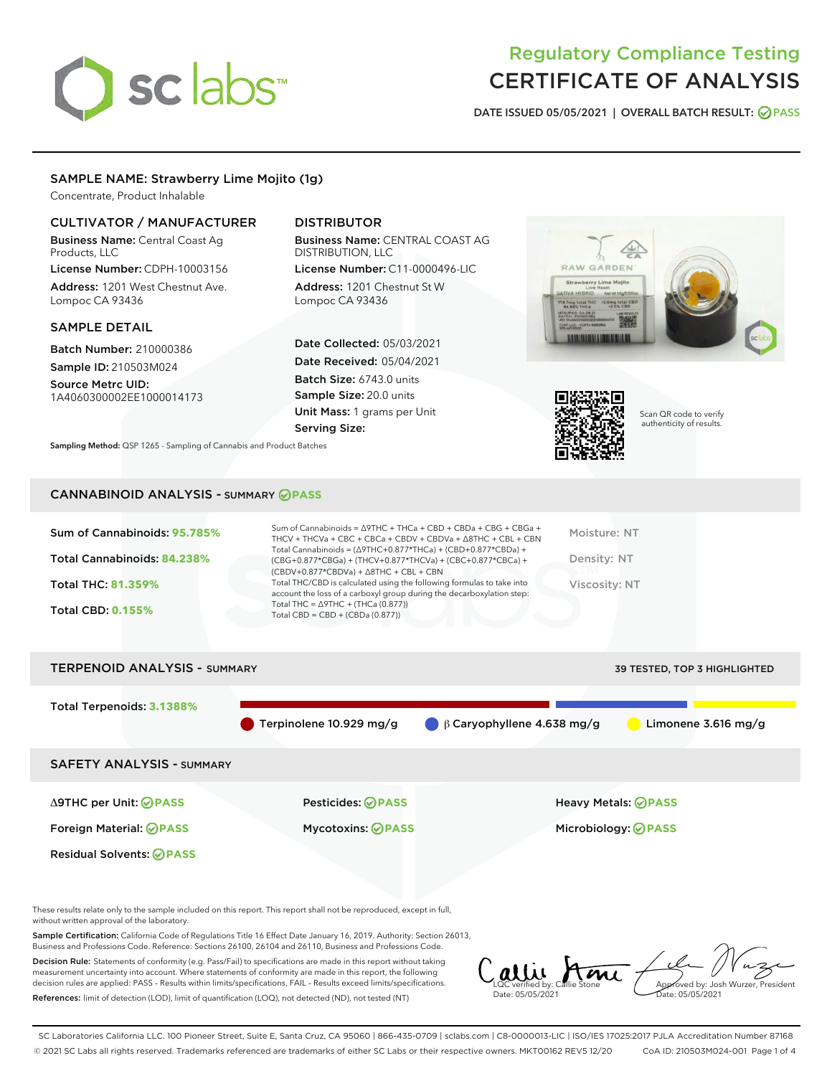# sclabs

# Regulatory Compliance Testing CERTIFICATE OF ANALYSIS

DATE ISSUED 05/05/2021 | OVERALL BATCH RESULT: @ PASS

# SAMPLE NAME: Strawberry Lime Mojito (1g)

Concentrate, Product Inhalable

# CULTIVATOR / MANUFACTURER

Business Name: Central Coast Ag Products, LLC

License Number: CDPH-10003156 Address: 1201 West Chestnut Ave. Lompoc CA 93436

# SAMPLE DETAIL

Batch Number: 210000386 Sample ID: 210503M024

Source Metrc UID: 1A4060300002EE1000014173

# DISTRIBUTOR

Business Name: CENTRAL COAST AG DISTRIBUTION, LLC

License Number: C11-0000496-LIC Address: 1201 Chestnut St W Lompoc CA 93436

Date Collected: 05/03/2021 Date Received: 05/04/2021 Batch Size: 6743.0 units Sample Size: 20.0 units Unit Mass: 1 grams per Unit Serving Size:

Sampling Method: QSP 1265 - Sampling of Cannabis and Product Batches

# RAW GARDEN <2.0mg total CBC



Scan QR code to verify authenticity of results.

# CANNABINOID ANALYSIS - SUMMARY **PASS**

| Sum of Cannabinoids: 95.785% | Sum of Cannabinoids = $\triangle$ 9THC + THCa + CBD + CBDa + CBG + CBGa +<br>THCV + THCVa + CBC + CBCa + CBDV + CBDVa + $\Delta$ 8THC + CBL + CBN                                    | Moisture: NT  |
|------------------------------|--------------------------------------------------------------------------------------------------------------------------------------------------------------------------------------|---------------|
| Total Cannabinoids: 84.238%  | Total Cannabinoids = $(\Delta$ 9THC+0.877*THCa) + (CBD+0.877*CBDa) +<br>(CBG+0.877*CBGa) + (THCV+0.877*THCVa) + (CBC+0.877*CBCa) +<br>$(CBDV+0.877*CBDVa) + \Delta 8THC + CBL + CBN$ | Density: NT   |
| <b>Total THC: 81.359%</b>    | Total THC/CBD is calculated using the following formulas to take into<br>account the loss of a carboxyl group during the decarboxylation step:                                       | Viscosity: NT |
| <b>Total CBD: 0.155%</b>     | Total THC = $\triangle$ 9THC + (THCa (0.877))<br>Total CBD = $CBD + (CBDa (0.877))$                                                                                                  |               |
|                              |                                                                                                                                                                                      |               |

# TERPENOID ANALYSIS - SUMMARY 39 TESTED, TOP 3 HIGHLIGHTED Total Terpenoids: **3.1388%** Terpinolene 10.929 mg/g  $\qquad \qquad \beta$  Caryophyllene 4.638 mg/g  $\qquad \qquad$  Limonene 3.616 mg/g SAFETY ANALYSIS - SUMMARY Δ9THC per Unit: **PASS** Pesticides: **PASS** Heavy Metals: **PASS** Foreign Material: **PASS** Mycotoxins: **PASS** Microbiology: **PASS** Residual Solvents: **OPASS**

These results relate only to the sample included on this report. This report shall not be reproduced, except in full, without written approval of the laboratory.

Sample Certification: California Code of Regulations Title 16 Effect Date January 16, 2019. Authority: Section 26013, Business and Professions Code. Reference: Sections 26100, 26104 and 26110, Business and Professions Code.

Decision Rule: Statements of conformity (e.g. Pass/Fail) to specifications are made in this report without taking measurement uncertainty into account. Where statements of conformity are made in this report, the following decision rules are applied: PASS – Results within limits/specifications, FAIL – Results exceed limits/specifications. References: limit of detection (LOD), limit of quantification (LOQ), not detected (ND), not tested (NT)

LQC verified by: Callie Stone Date: 05/05/2021 Approved by: Josh Wurzer, President Date: 05/05/2021

SC Laboratories California LLC. 100 Pioneer Street, Suite E, Santa Cruz, CA 95060 | 866-435-0709 | sclabs.com | C8-0000013-LIC | ISO/IES 17025:2017 PJLA Accreditation Number 87168 © 2021 SC Labs all rights reserved. Trademarks referenced are trademarks of either SC Labs or their respective owners. MKT00162 REV5 12/20 CoA ID: 210503M024-001 Page 1 of 4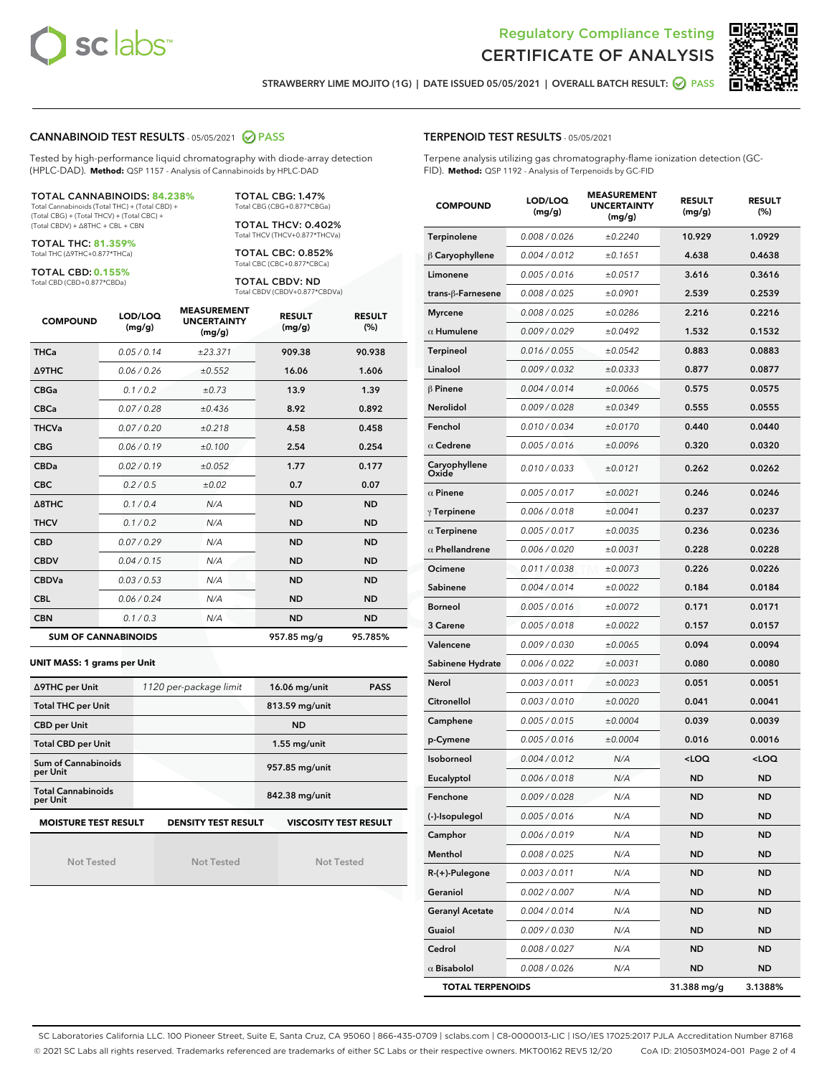



STRAWBERRY LIME MOJITO (1G) | DATE ISSUED 05/05/2021 | OVERALL BATCH RESULT: @ PASS

# CANNABINOID TEST RESULTS - 05/05/2021 2 PASS

Tested by high-performance liquid chromatography with diode-array detection (HPLC-DAD). **Method:** QSP 1157 - Analysis of Cannabinoids by HPLC-DAD

#### TOTAL CANNABINOIDS: **84.238%**

Total Cannabinoids (Total THC) + (Total CBD) + (Total CBG) + (Total THCV) + (Total CBC) + (Total CBDV) + ∆8THC + CBL + CBN

TOTAL THC: **81.359%** Total THC (∆9THC+0.877\*THCa)

TOTAL CBD: **0.155%**

Total CBD (CBD+0.877\*CBDa)

TOTAL CBG: 1.47% Total CBG (CBG+0.877\*CBGa)

TOTAL THCV: 0.402% Total THCV (THCV+0.877\*THCVa)

TOTAL CBC: 0.852% Total CBC (CBC+0.877\*CBCa)

TOTAL CBDV: ND Total CBDV (CBDV+0.877\*CBDVa)

| <b>COMPOUND</b>  | LOD/LOQ<br>(mg/g)          | <b>MEASUREMENT</b><br><b>UNCERTAINTY</b><br>(mg/g) | <b>RESULT</b><br>(mg/g) | <b>RESULT</b><br>(%) |
|------------------|----------------------------|----------------------------------------------------|-------------------------|----------------------|
| <b>THCa</b>      | 0.05/0.14                  | ±23.371                                            | 909.38                  | 90.938               |
| <b>A9THC</b>     | 0.06 / 0.26                | ±0.552                                             | 16.06                   | 1.606                |
| <b>CBGa</b>      | 0.1 / 0.2                  | ±0.73                                              | 13.9                    | 1.39                 |
| <b>CBCa</b>      | 0.07 / 0.28                | ±0.436                                             | 8.92                    | 0.892                |
| <b>THCVa</b>     | 0.07/0.20                  | ±0.218                                             | 4.58                    | 0.458                |
| <b>CBG</b>       | 0.06/0.19                  | ±0.100                                             | 2.54                    | 0.254                |
| <b>CBDa</b>      | 0.02 / 0.19                | ±0.052                                             | 1.77                    | 0.177                |
| <b>CBC</b>       | 0.2 / 0.5                  | ±0.02                                              | 0.7                     | 0.07                 |
| $\triangle$ 8THC | 0.1/0.4                    | N/A                                                | <b>ND</b>               | <b>ND</b>            |
| <b>THCV</b>      | 0.1/0.2                    | N/A                                                | <b>ND</b>               | <b>ND</b>            |
| <b>CBD</b>       | 0.07/0.29                  | N/A                                                | <b>ND</b>               | <b>ND</b>            |
| <b>CBDV</b>      | 0.04/0.15                  | N/A                                                | <b>ND</b>               | <b>ND</b>            |
| <b>CBDVa</b>     | 0.03/0.53                  | N/A                                                | <b>ND</b>               | <b>ND</b>            |
| <b>CBL</b>       | 0.06 / 0.24                | N/A                                                | <b>ND</b>               | <b>ND</b>            |
| <b>CBN</b>       | 0.1/0.3                    | N/A                                                | <b>ND</b>               | <b>ND</b>            |
|                  | <b>SUM OF CANNABINOIDS</b> |                                                    | 957.85 mg/g             | 95.785%              |

#### **UNIT MASS: 1 grams per Unit**

| ∆9THC per Unit                                                                            | 1120 per-package limit | 16.06 mg/unit<br><b>PASS</b> |  |  |
|-------------------------------------------------------------------------------------------|------------------------|------------------------------|--|--|
| <b>Total THC per Unit</b>                                                                 |                        | 813.59 mg/unit               |  |  |
| <b>CBD per Unit</b>                                                                       |                        | <b>ND</b>                    |  |  |
| <b>Total CBD per Unit</b>                                                                 |                        | $1.55$ mg/unit               |  |  |
| Sum of Cannabinoids<br>per Unit                                                           |                        | 957.85 mg/unit               |  |  |
| <b>Total Cannabinoids</b><br>per Unit                                                     |                        | 842.38 mg/unit               |  |  |
| <b>MOISTURE TEST RESULT</b><br><b>DENSITY TEST RESULT</b><br><b>VISCOSITY TEST RESULT</b> |                        |                              |  |  |

Not Tested

Not Tested

Not Tested

## TERPENOID TEST RESULTS - 05/05/2021

Terpene analysis utilizing gas chromatography-flame ionization detection (GC-FID). **Method:** QSP 1192 - Analysis of Terpenoids by GC-FID

| <b>COMPOUND</b>         | LOD/LOQ<br>(mg/g) | <b>MEASUREMENT</b><br><b>UNCERTAINTY</b><br>(mg/g) | <b>RESULT</b><br>(mg/g)                         | <b>RESULT</b><br>$(\%)$ |
|-------------------------|-------------------|----------------------------------------------------|-------------------------------------------------|-------------------------|
| Terpinolene             | 0.008 / 0.026     | ±0.2240                                            | 10.929                                          | 1.0929                  |
| $\beta$ Caryophyllene   | 0.004 / 0.012     | ±0.1651                                            | 4.638                                           | 0.4638                  |
| Limonene                | 0.005 / 0.016     | ±0.0517                                            | 3.616                                           | 0.3616                  |
| trans-ß-Farnesene       | 0.008 / 0.025     | ±0.0901                                            | 2.539                                           | 0.2539                  |
| <b>Myrcene</b>          | 0.008 / 0.025     | ±0.0286                                            | 2.216                                           | 0.2216                  |
| $\alpha$ Humulene       | 0.009/0.029       | ±0.0492                                            | 1.532                                           | 0.1532                  |
| <b>Terpineol</b>        | 0.016 / 0.055     | ±0.0542                                            | 0.883                                           | 0.0883                  |
| Linalool                | 0.009 / 0.032     | ±0.0333                                            | 0.877                                           | 0.0877                  |
| $\beta$ Pinene          | 0.004 / 0.014     | ±0.0066                                            | 0.575                                           | 0.0575                  |
| Nerolidol               | 0.009 / 0.028     | ±0.0349                                            | 0.555                                           | 0.0555                  |
| Fenchol                 | 0.010 / 0.034     | ±0.0170                                            | 0.440                                           | 0.0440                  |
| $\alpha$ Cedrene        | 0.005 / 0.016     | ±0.0096                                            | 0.320                                           | 0.0320                  |
| Caryophyllene<br>Oxide  | 0.010 / 0.033     | ±0.0121                                            | 0.262                                           | 0.0262                  |
| $\alpha$ Pinene         | 0.005 / 0.017     | ±0.0021                                            | 0.246                                           | 0.0246                  |
| $\gamma$ Terpinene      | 0.006 / 0.018     | ±0.0041                                            | 0.237                                           | 0.0237                  |
| $\alpha$ Terpinene      | 0.005 / 0.017     | ±0.0035                                            | 0.236                                           | 0.0236                  |
| $\alpha$ Phellandrene   | 0.006 / 0.020     | ±0.0031                                            | 0.228                                           | 0.0228                  |
| Ocimene                 | 0.011 / 0.038     | ±0.0073                                            | 0.226                                           | 0.0226                  |
| Sabinene                | 0.004 / 0.014     | ±0.0022                                            | 0.184                                           | 0.0184                  |
| <b>Borneol</b>          | 0.005 / 0.016     | ±0.0072                                            | 0.171                                           | 0.0171                  |
| 3 Carene                | 0.005 / 0.018     | ±0.0022                                            | 0.157                                           | 0.0157                  |
| Valencene               | 0.009 / 0.030     | ±0.0065                                            | 0.094                                           | 0.0094                  |
| Sabinene Hydrate        | 0.006 / 0.022     | ±0.0031                                            | 0.080                                           | 0.0080                  |
| Nerol                   | 0.003 / 0.011     | ±0.0023                                            | 0.051                                           | 0.0051                  |
| Citronellol             | 0.003 / 0.010     | ±0.0020                                            | 0.041                                           | 0.0041                  |
| Camphene                | 0.005 / 0.015     | ±0.0004                                            | 0.039                                           | 0.0039                  |
| p-Cymene                | 0.005 / 0.016     | ±0.0004                                            | 0.016                                           | 0.0016                  |
| Isoborneol              | 0.004 / 0.012     | N/A                                                | <loq< th=""><th><loq< th=""></loq<></th></loq<> | <loq< th=""></loq<>     |
| Eucalyptol              | 0.006 / 0.018     | N/A                                                | ND                                              | <b>ND</b>               |
| Fenchone                | 0.009 / 0.028     | N/A                                                | <b>ND</b>                                       | <b>ND</b>               |
| (-)-Isopulegol          | 0.005 / 0.016     | N/A                                                | ND                                              | ND                      |
| Camphor                 | 0.006 / 0.019     | N/A                                                | ND                                              | <b>ND</b>               |
| Menthol                 | 0.008 / 0.025     | N/A                                                | ND                                              | <b>ND</b>               |
| R-(+)-Pulegone          | 0.003 / 0.011     | N/A                                                | ND                                              | <b>ND</b>               |
| Geraniol                | 0.002 / 0.007     | N/A                                                | ND                                              | ND                      |
| <b>Geranyl Acetate</b>  | 0.004 / 0.014     | N/A                                                | ND                                              | ND                      |
| Guaiol                  | 0.009 / 0.030     | N/A                                                | <b>ND</b>                                       | <b>ND</b>               |
| Cedrol                  | 0.008 / 0.027     | N/A                                                | ND                                              | ND                      |
| $\alpha$ Bisabolol      | 0.008 / 0.026     | N/A                                                | ND                                              | <b>ND</b>               |
| <b>TOTAL TERPENOIDS</b> |                   |                                                    | 31.388 mg/g                                     | 3.1388%                 |

SC Laboratories California LLC. 100 Pioneer Street, Suite E, Santa Cruz, CA 95060 | 866-435-0709 | sclabs.com | C8-0000013-LIC | ISO/IES 17025:2017 PJLA Accreditation Number 87168 © 2021 SC Labs all rights reserved. Trademarks referenced are trademarks of either SC Labs or their respective owners. MKT00162 REV5 12/20 CoA ID: 210503M024-001 Page 2 of 4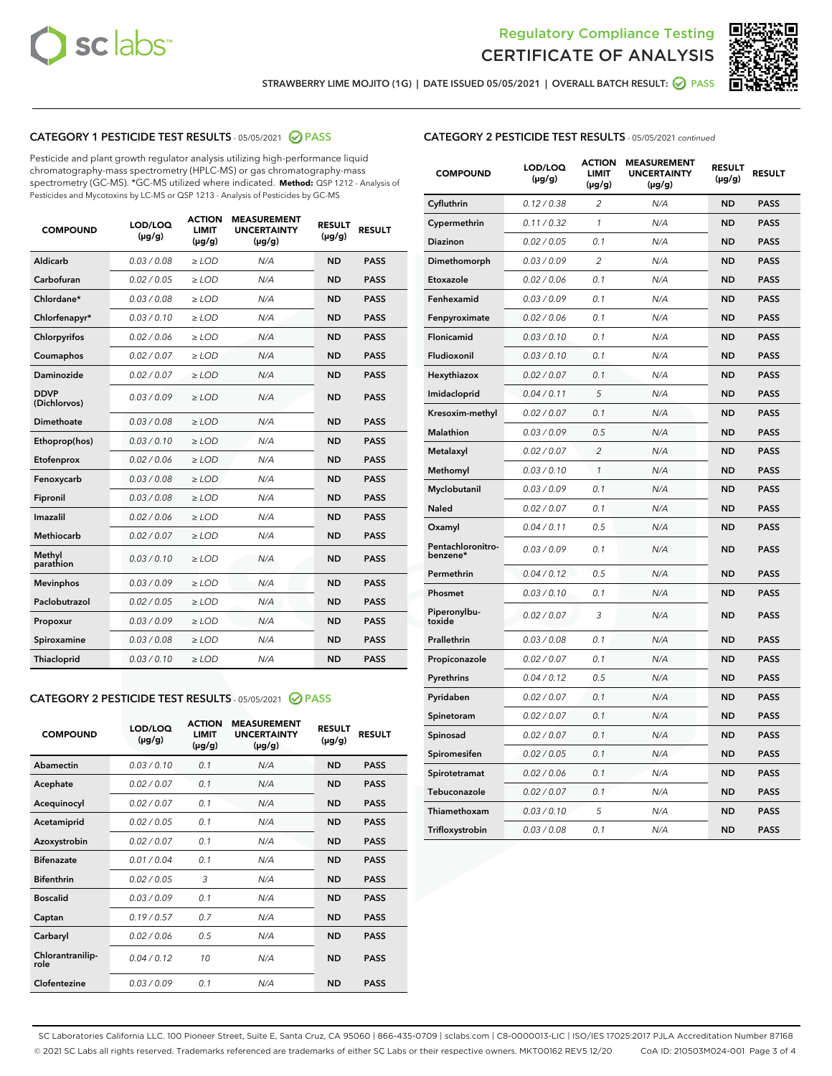



STRAWBERRY LIME MOJITO (1G) | DATE ISSUED 05/05/2021 | OVERALL BATCH RESULT: @ PASS

# CATEGORY 1 PESTICIDE TEST RESULTS - 05/05/2021 2 PASS

Pesticide and plant growth regulator analysis utilizing high-performance liquid chromatography-mass spectrometry (HPLC-MS) or gas chromatography-mass spectrometry (GC-MS). \*GC-MS utilized where indicated. **Method:** QSP 1212 - Analysis of Pesticides and Mycotoxins by LC-MS or QSP 1213 - Analysis of Pesticides by GC-MS

| <b>Aldicarb</b><br>0.03 / 0.08<br><b>ND</b><br>$\ge$ LOD<br>N/A<br><b>PASS</b><br>Carbofuran<br>0.02/0.05<br>$\ge$ LOD<br>N/A<br><b>ND</b><br><b>PASS</b><br>Chlordane*<br>0.03 / 0.08<br><b>ND</b><br>$>$ LOD<br>N/A<br><b>PASS</b><br>0.03/0.10<br><b>ND</b><br><b>PASS</b><br>Chlorfenapyr*<br>$\ge$ LOD<br>N/A<br>0.02 / 0.06<br>N/A<br><b>ND</b><br><b>PASS</b><br>Chlorpyrifos<br>$\ge$ LOD<br>0.02 / 0.07<br>N/A<br><b>ND</b><br><b>PASS</b><br>Coumaphos<br>$>$ LOD<br>Daminozide<br>0.02 / 0.07<br>$\ge$ LOD<br>N/A<br><b>ND</b><br><b>PASS</b><br><b>DDVP</b><br>0.03/0.09<br>$\ge$ LOD<br>N/A<br><b>ND</b><br><b>PASS</b><br>(Dichlorvos)<br>Dimethoate<br><b>ND</b><br><b>PASS</b><br>0.03 / 0.08<br>$>$ LOD<br>N/A<br>0.03/0.10<br>Ethoprop(hos)<br>$\ge$ LOD<br>N/A<br><b>ND</b><br><b>PASS</b><br>0.02 / 0.06<br>$\ge$ LOD<br>N/A<br><b>ND</b><br><b>PASS</b><br>Etofenprox<br>Fenoxycarb<br>0.03 / 0.08<br>$>$ LOD<br>N/A<br><b>ND</b><br><b>PASS</b><br>0.03 / 0.08<br><b>ND</b><br><b>PASS</b><br>Fipronil<br>$\ge$ LOD<br>N/A<br>Imazalil<br>0.02 / 0.06<br>$>$ LOD<br>N/A<br><b>ND</b><br><b>PASS</b><br>0.02 / 0.07<br>Methiocarb<br>N/A<br><b>ND</b><br>$>$ LOD<br><b>PASS</b><br>Methyl<br>0.03/0.10<br>$\ge$ LOD<br>N/A<br><b>ND</b><br><b>PASS</b><br>parathion<br>0.03/0.09<br>$\ge$ LOD<br>N/A<br><b>ND</b><br><b>PASS</b><br><b>Mevinphos</b><br>Paclobutrazol<br>0.02 / 0.05<br>$\ge$ LOD<br>N/A<br><b>ND</b><br><b>PASS</b><br>0.03/0.09<br>N/A<br>$\ge$ LOD<br><b>ND</b><br><b>PASS</b><br>Propoxur<br>0.03 / 0.08<br><b>ND</b><br><b>PASS</b><br>Spiroxamine<br>$\ge$ LOD<br>N/A<br><b>PASS</b><br>Thiacloprid<br>0.03/0.10<br>$\ge$ LOD<br>N/A<br><b>ND</b> | <b>COMPOUND</b> | LOD/LOQ<br>$(\mu g/g)$ | <b>ACTION</b><br>LIMIT<br>$(\mu g/g)$ | <b>MEASUREMENT</b><br><b>UNCERTAINTY</b><br>$(\mu g/g)$ | <b>RESULT</b><br>$(\mu g/g)$ | <b>RESULT</b> |
|----------------------------------------------------------------------------------------------------------------------------------------------------------------------------------------------------------------------------------------------------------------------------------------------------------------------------------------------------------------------------------------------------------------------------------------------------------------------------------------------------------------------------------------------------------------------------------------------------------------------------------------------------------------------------------------------------------------------------------------------------------------------------------------------------------------------------------------------------------------------------------------------------------------------------------------------------------------------------------------------------------------------------------------------------------------------------------------------------------------------------------------------------------------------------------------------------------------------------------------------------------------------------------------------------------------------------------------------------------------------------------------------------------------------------------------------------------------------------------------------------------------------------------------------------------------------------------------------------------------------------------------------------------------------------------------------|-----------------|------------------------|---------------------------------------|---------------------------------------------------------|------------------------------|---------------|
|                                                                                                                                                                                                                                                                                                                                                                                                                                                                                                                                                                                                                                                                                                                                                                                                                                                                                                                                                                                                                                                                                                                                                                                                                                                                                                                                                                                                                                                                                                                                                                                                                                                                                              |                 |                        |                                       |                                                         |                              |               |
|                                                                                                                                                                                                                                                                                                                                                                                                                                                                                                                                                                                                                                                                                                                                                                                                                                                                                                                                                                                                                                                                                                                                                                                                                                                                                                                                                                                                                                                                                                                                                                                                                                                                                              |                 |                        |                                       |                                                         |                              |               |
|                                                                                                                                                                                                                                                                                                                                                                                                                                                                                                                                                                                                                                                                                                                                                                                                                                                                                                                                                                                                                                                                                                                                                                                                                                                                                                                                                                                                                                                                                                                                                                                                                                                                                              |                 |                        |                                       |                                                         |                              |               |
|                                                                                                                                                                                                                                                                                                                                                                                                                                                                                                                                                                                                                                                                                                                                                                                                                                                                                                                                                                                                                                                                                                                                                                                                                                                                                                                                                                                                                                                                                                                                                                                                                                                                                              |                 |                        |                                       |                                                         |                              |               |
|                                                                                                                                                                                                                                                                                                                                                                                                                                                                                                                                                                                                                                                                                                                                                                                                                                                                                                                                                                                                                                                                                                                                                                                                                                                                                                                                                                                                                                                                                                                                                                                                                                                                                              |                 |                        |                                       |                                                         |                              |               |
|                                                                                                                                                                                                                                                                                                                                                                                                                                                                                                                                                                                                                                                                                                                                                                                                                                                                                                                                                                                                                                                                                                                                                                                                                                                                                                                                                                                                                                                                                                                                                                                                                                                                                              |                 |                        |                                       |                                                         |                              |               |
|                                                                                                                                                                                                                                                                                                                                                                                                                                                                                                                                                                                                                                                                                                                                                                                                                                                                                                                                                                                                                                                                                                                                                                                                                                                                                                                                                                                                                                                                                                                                                                                                                                                                                              |                 |                        |                                       |                                                         |                              |               |
|                                                                                                                                                                                                                                                                                                                                                                                                                                                                                                                                                                                                                                                                                                                                                                                                                                                                                                                                                                                                                                                                                                                                                                                                                                                                                                                                                                                                                                                                                                                                                                                                                                                                                              |                 |                        |                                       |                                                         |                              |               |
|                                                                                                                                                                                                                                                                                                                                                                                                                                                                                                                                                                                                                                                                                                                                                                                                                                                                                                                                                                                                                                                                                                                                                                                                                                                                                                                                                                                                                                                                                                                                                                                                                                                                                              |                 |                        |                                       |                                                         |                              |               |
|                                                                                                                                                                                                                                                                                                                                                                                                                                                                                                                                                                                                                                                                                                                                                                                                                                                                                                                                                                                                                                                                                                                                                                                                                                                                                                                                                                                                                                                                                                                                                                                                                                                                                              |                 |                        |                                       |                                                         |                              |               |
|                                                                                                                                                                                                                                                                                                                                                                                                                                                                                                                                                                                                                                                                                                                                                                                                                                                                                                                                                                                                                                                                                                                                                                                                                                                                                                                                                                                                                                                                                                                                                                                                                                                                                              |                 |                        |                                       |                                                         |                              |               |
|                                                                                                                                                                                                                                                                                                                                                                                                                                                                                                                                                                                                                                                                                                                                                                                                                                                                                                                                                                                                                                                                                                                                                                                                                                                                                                                                                                                                                                                                                                                                                                                                                                                                                              |                 |                        |                                       |                                                         |                              |               |
|                                                                                                                                                                                                                                                                                                                                                                                                                                                                                                                                                                                                                                                                                                                                                                                                                                                                                                                                                                                                                                                                                                                                                                                                                                                                                                                                                                                                                                                                                                                                                                                                                                                                                              |                 |                        |                                       |                                                         |                              |               |
|                                                                                                                                                                                                                                                                                                                                                                                                                                                                                                                                                                                                                                                                                                                                                                                                                                                                                                                                                                                                                                                                                                                                                                                                                                                                                                                                                                                                                                                                                                                                                                                                                                                                                              |                 |                        |                                       |                                                         |                              |               |
|                                                                                                                                                                                                                                                                                                                                                                                                                                                                                                                                                                                                                                                                                                                                                                                                                                                                                                                                                                                                                                                                                                                                                                                                                                                                                                                                                                                                                                                                                                                                                                                                                                                                                              |                 |                        |                                       |                                                         |                              |               |
|                                                                                                                                                                                                                                                                                                                                                                                                                                                                                                                                                                                                                                                                                                                                                                                                                                                                                                                                                                                                                                                                                                                                                                                                                                                                                                                                                                                                                                                                                                                                                                                                                                                                                              |                 |                        |                                       |                                                         |                              |               |
|                                                                                                                                                                                                                                                                                                                                                                                                                                                                                                                                                                                                                                                                                                                                                                                                                                                                                                                                                                                                                                                                                                                                                                                                                                                                                                                                                                                                                                                                                                                                                                                                                                                                                              |                 |                        |                                       |                                                         |                              |               |
|                                                                                                                                                                                                                                                                                                                                                                                                                                                                                                                                                                                                                                                                                                                                                                                                                                                                                                                                                                                                                                                                                                                                                                                                                                                                                                                                                                                                                                                                                                                                                                                                                                                                                              |                 |                        |                                       |                                                         |                              |               |
|                                                                                                                                                                                                                                                                                                                                                                                                                                                                                                                                                                                                                                                                                                                                                                                                                                                                                                                                                                                                                                                                                                                                                                                                                                                                                                                                                                                                                                                                                                                                                                                                                                                                                              |                 |                        |                                       |                                                         |                              |               |
|                                                                                                                                                                                                                                                                                                                                                                                                                                                                                                                                                                                                                                                                                                                                                                                                                                                                                                                                                                                                                                                                                                                                                                                                                                                                                                                                                                                                                                                                                                                                                                                                                                                                                              |                 |                        |                                       |                                                         |                              |               |
|                                                                                                                                                                                                                                                                                                                                                                                                                                                                                                                                                                                                                                                                                                                                                                                                                                                                                                                                                                                                                                                                                                                                                                                                                                                                                                                                                                                                                                                                                                                                                                                                                                                                                              |                 |                        |                                       |                                                         |                              |               |

## CATEGORY 2 PESTICIDE TEST RESULTS - 05/05/2021 @ PASS

| <b>COMPOUND</b>          | LOD/LOQ<br>$(\mu g/g)$ | <b>ACTION</b><br><b>LIMIT</b><br>$(\mu g/g)$ | <b>MEASUREMENT</b><br><b>UNCERTAINTY</b><br>$(\mu g/g)$ | <b>RESULT</b><br>$(\mu g/g)$ | <b>RESULT</b> |
|--------------------------|------------------------|----------------------------------------------|---------------------------------------------------------|------------------------------|---------------|
| Abamectin                | 0.03/0.10              | 0.1                                          | N/A                                                     | <b>ND</b>                    | <b>PASS</b>   |
| Acephate                 | 0.02/0.07              | 0.1                                          | N/A                                                     | <b>ND</b>                    | <b>PASS</b>   |
| Acequinocyl              | 0.02/0.07              | 0.1                                          | N/A                                                     | <b>ND</b>                    | <b>PASS</b>   |
| Acetamiprid              | 0.02/0.05              | 0.1                                          | N/A                                                     | <b>ND</b>                    | <b>PASS</b>   |
| Azoxystrobin             | 0.02/0.07              | 0.1                                          | N/A                                                     | <b>ND</b>                    | <b>PASS</b>   |
| <b>Bifenazate</b>        | 0.01/0.04              | 0.1                                          | N/A                                                     | <b>ND</b>                    | <b>PASS</b>   |
| <b>Bifenthrin</b>        | 0.02 / 0.05            | 3                                            | N/A                                                     | <b>ND</b>                    | <b>PASS</b>   |
| <b>Boscalid</b>          | 0.03/0.09              | 0.1                                          | N/A                                                     | <b>ND</b>                    | <b>PASS</b>   |
| Captan                   | 0.19/0.57              | 0.7                                          | N/A                                                     | <b>ND</b>                    | <b>PASS</b>   |
| Carbaryl                 | 0.02/0.06              | 0.5                                          | N/A                                                     | <b>ND</b>                    | <b>PASS</b>   |
| Chlorantranilip-<br>role | 0.04/0.12              | 10                                           | N/A                                                     | <b>ND</b>                    | <b>PASS</b>   |
| Clofentezine             | 0.03/0.09              | 0.1                                          | N/A                                                     | <b>ND</b>                    | <b>PASS</b>   |

| <b>CATEGORY 2 PESTICIDE TEST RESULTS</b> - 05/05/2021 continued |  |
|-----------------------------------------------------------------|--|
|                                                                 |  |

| <b>COMPOUND</b>               | LOD/LOQ<br>(µg/g) | <b>ACTION</b><br>LIMIT<br>(µg/g) | <b>MEASUREMENT</b><br><b>UNCERTAINTY</b><br>(µg/g) | <b>RESULT</b><br>(µg/g) | <b>RESULT</b> |
|-------------------------------|-------------------|----------------------------------|----------------------------------------------------|-------------------------|---------------|
| Cyfluthrin                    | 0.12 / 0.38       | $\overline{c}$                   | N/A                                                | <b>ND</b>               | <b>PASS</b>   |
| Cypermethrin                  | 0.11/0.32         | 1                                | N/A                                                | <b>ND</b>               | <b>PASS</b>   |
| <b>Diazinon</b>               | 0.02 / 0.05       | 0.1                              | N/A                                                | <b>ND</b>               | <b>PASS</b>   |
| Dimethomorph                  | 0.03 / 0.09       | 2                                | N/A                                                | <b>ND</b>               | <b>PASS</b>   |
| Etoxazole                     | 0.02 / 0.06       | 0.1                              | N/A                                                | <b>ND</b>               | <b>PASS</b>   |
| Fenhexamid                    | 0.03 / 0.09       | 0.1                              | N/A                                                | <b>ND</b>               | <b>PASS</b>   |
| Fenpyroximate                 | 0.02 / 0.06       | 0.1                              | N/A                                                | <b>ND</b>               | <b>PASS</b>   |
| Flonicamid                    | 0.03 / 0.10       | 0.1                              | N/A                                                | <b>ND</b>               | <b>PASS</b>   |
| Fludioxonil                   | 0.03/0.10         | 0.1                              | N/A                                                | <b>ND</b>               | <b>PASS</b>   |
| Hexythiazox                   | 0.02 / 0.07       | 0.1                              | N/A                                                | <b>ND</b>               | <b>PASS</b>   |
| Imidacloprid                  | 0.04 / 0.11       | 5                                | N/A                                                | <b>ND</b>               | <b>PASS</b>   |
| Kresoxim-methyl               | 0.02 / 0.07       | 0.1                              | N/A                                                | <b>ND</b>               | <b>PASS</b>   |
| <b>Malathion</b>              | 0.03 / 0.09       | 0.5                              | N/A                                                | <b>ND</b>               | <b>PASS</b>   |
| Metalaxyl                     | 0.02 / 0.07       | $\overline{c}$                   | N/A                                                | <b>ND</b>               | <b>PASS</b>   |
| Methomyl                      | 0.03 / 0.10       | 1                                | N/A                                                | <b>ND</b>               | <b>PASS</b>   |
| Myclobutanil                  | 0.03/0.09         | 0.1                              | N/A                                                | <b>ND</b>               | <b>PASS</b>   |
| Naled                         | 0.02 / 0.07       | 0.1                              | N/A                                                | <b>ND</b>               | <b>PASS</b>   |
| Oxamyl                        | 0.04 / 0.11       | 0.5                              | N/A                                                | <b>ND</b>               | <b>PASS</b>   |
| Pentachloronitro-<br>benzene* | 0.03/0.09         | 0.1                              | N/A                                                | <b>ND</b>               | <b>PASS</b>   |
| Permethrin                    | 0.04 / 0.12       | 0.5                              | N/A                                                | <b>ND</b>               | <b>PASS</b>   |
| Phosmet                       | 0.03 / 0.10       | 0.1                              | N/A                                                | <b>ND</b>               | <b>PASS</b>   |
| Piperonylbu-<br>toxide        | 0.02 / 0.07       | 3                                | N/A                                                | <b>ND</b>               | <b>PASS</b>   |
| Prallethrin                   | 0.03 / 0.08       | 0.1                              | N/A                                                | <b>ND</b>               | <b>PASS</b>   |
| Propiconazole                 | 0.02 / 0.07       | 0.1                              | N/A                                                | <b>ND</b>               | <b>PASS</b>   |
| Pyrethrins                    | 0.04 / 0.12       | 0.5                              | N/A                                                | <b>ND</b>               | <b>PASS</b>   |
| Pyridaben                     | 0.02 / 0.07       | 0.1                              | N/A                                                | <b>ND</b>               | <b>PASS</b>   |
| Spinetoram                    | 0.02 / 0.07       | 0.1                              | N/A                                                | <b>ND</b>               | <b>PASS</b>   |
| Spinosad                      | 0.02 / 0.07       | 0.1                              | N/A                                                | <b>ND</b>               | <b>PASS</b>   |
| Spiromesifen                  | 0.02 / 0.05       | 0.1                              | N/A                                                | <b>ND</b>               | <b>PASS</b>   |
| Spirotetramat                 | 0.02 / 0.06       | 0.1                              | N/A                                                | <b>ND</b>               | <b>PASS</b>   |
| Tebuconazole                  | 0.02 / 0.07       | 0.1                              | N/A                                                | <b>ND</b>               | <b>PASS</b>   |
| Thiamethoxam                  | 0.03 / 0.10       | 5                                | N/A                                                | <b>ND</b>               | <b>PASS</b>   |
| Trifloxystrobin               | 0.03 / 0.08       | 0.1                              | N/A                                                | <b>ND</b>               | <b>PASS</b>   |

SC Laboratories California LLC. 100 Pioneer Street, Suite E, Santa Cruz, CA 95060 | 866-435-0709 | sclabs.com | C8-0000013-LIC | ISO/IES 17025:2017 PJLA Accreditation Number 87168 © 2021 SC Labs all rights reserved. Trademarks referenced are trademarks of either SC Labs or their respective owners. MKT00162 REV5 12/20 CoA ID: 210503M024-001 Page 3 of 4